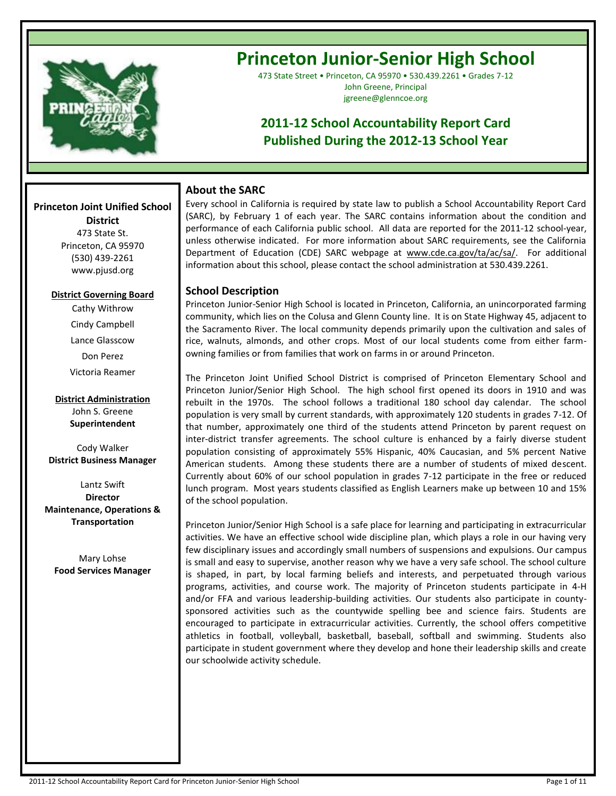

# **Princeton Junior-Senior High School**

473 State Street • Princeton, CA 95970 • 530.439.2261 • Grades 7-12 John Greene, Principal jgreene@glenncoe.org

## **2011-12 School Accountability Report Card Published During the 2012-13 School Year**

## **About the SARC**

Every school in California is required by state law to publish a School Accountability Report Card (SARC), by February 1 of each year. The SARC contains information about the condition and performance of each California public school. All data are reported for the 2011-12 school-year, unless otherwise indicated. For more information about SARC requirements, see the California Department of Education (CDE) SARC webpage at www.cde.ca.gov/ta/ac/sa/. For additional information about this school, please contact the school administration at 530.439.2261.

## **School Description**

Princeton Junior-Senior High School is located in Princeton, California, an unincorporated farming community, which lies on the Colusa and Glenn County line. It is on State Highway 45, adjacent to the Sacramento River. The local community depends primarily upon the cultivation and sales of rice, walnuts, almonds, and other crops. Most of our local students come from either farmowning families or from families that work on farms in or around Princeton.

The Princeton Joint Unified School District is comprised of Princeton Elementary School and Princeton Junior/Senior High School. The high school first opened its doors in 1910 and was rebuilt in the 1970s. The school follows a traditional 180 school day calendar. The school population is very small by current standards, with approximately 120 students in grades 7-12. Of that number, approximately one third of the students attend Princeton by parent request on inter-district transfer agreements. The school culture is enhanced by a fairly diverse student population consisting of approximately 55% Hispanic, 40% Caucasian, and 5% percent Native American students. Among these students there are a number of students of mixed descent. Currently about 60% of our school population in grades 7-12 participate in the free or reduced lunch program. Most years students classified as English Learners make up between 10 and 15% of the school population.

Princeton Junior/Senior High School is a safe place for learning and participating in extracurricular activities. We have an effective school wide discipline plan, which plays a role in our having very few disciplinary issues and accordingly small numbers of suspensions and expulsions. Our campus is small and easy to supervise, another reason why we have a very safe school. The school culture is shaped, in part, by local farming beliefs and interests, and perpetuated through various programs, activities, and course work. The majority of Princeton students participate in 4-H and/or FFA and various leadership-building activities. Our students also participate in countysponsored activities such as the countywide spelling bee and science fairs. Students are encouraged to participate in extracurricular activities. Currently, the school offers competitive athletics in football, volleyball, basketball, baseball, softball and swimming. Students also participate in student government where they develop and hone their leadership skills and create our schoolwide activity schedule.

## **Princeton Joint Unified School District**

**--**

473 State St. Princeton, CA 95970 (530) 439-2261 www.pjusd.org

### **District Governing Board**

Cathy Withrow Cindy Campbell Lance Glasscow Don Perez Victoria Reamer

**District Administration** John S. Greene **Superintendent**

Cody Walker **District Business Manager** 

Lantz Swift **Director Maintenance, Operations & Transportation**

Mary Lohse **Food Services Manager**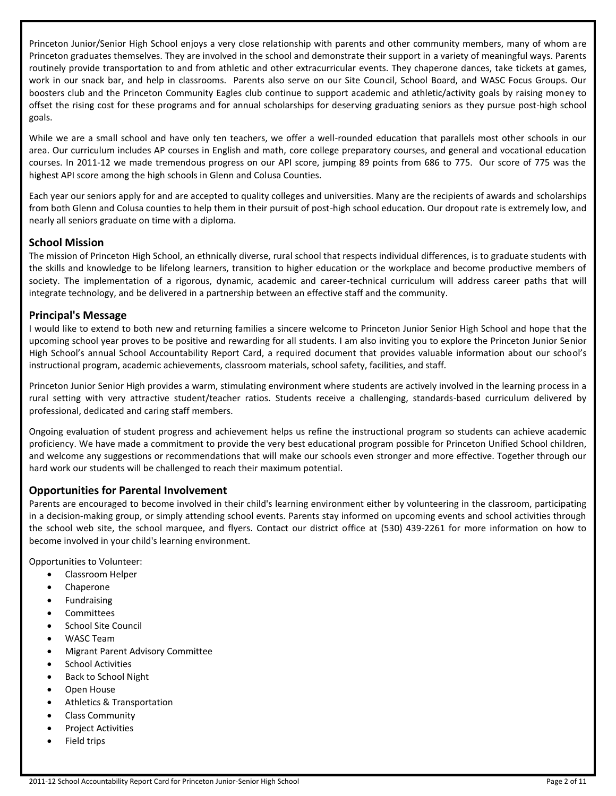Princeton Junior/Senior High School enjoys a very close relationship with parents and other community members, many of whom are Princeton graduates themselves. They are involved in the school and demonstrate their support in a variety of meaningful ways. Parents routinely provide transportation to and from athletic and other extracurricular events. They chaperone dances, take tickets at games, work in our snack bar, and help in classrooms. Parents also serve on our Site Council, School Board, and WASC Focus Groups. Our boosters club and the Princeton Community Eagles club continue to support academic and athletic/activity goals by raising money to offset the rising cost for these programs and for annual scholarships for deserving graduating seniors as they pursue post-high school goals.

While we are a small school and have only ten teachers, we offer a well-rounded education that parallels most other schools in our area. Our curriculum includes AP courses in English and math, core college preparatory courses, and general and vocational education courses. In 2011-12 we made tremendous progress on our API score, jumping 89 points from 686 to 775. Our score of 775 was the highest API score among the high schools in Glenn and Colusa Counties.

Each year our seniors apply for and are accepted to quality colleges and universities. Many are the recipients of awards and scholarships from both Glenn and Colusa counties to help them in their pursuit of post-high school education. Our dropout rate is extremely low, and nearly all seniors graduate on time with a diploma.

## **School Mission**

The mission of Princeton High School, an ethnically diverse, rural school that respects individual differences, is to graduate students with the skills and knowledge to be lifelong learners, transition to higher education or the workplace and become productive members of society. The implementation of a rigorous, dynamic, academic and career-technical curriculum will address career paths that will integrate technology, and be delivered in a partnership between an effective staff and the community.

## **Principal's Message**

I would like to extend to both new and returning families a sincere welcome to Princeton Junior Senior High School and hope that the upcoming school year proves to be positive and rewarding for all students. I am also inviting you to explore the Princeton Junior Senior High School's annual School Accountability Report Card, a required document that provides valuable information about our school's instructional program, academic achievements, classroom materials, school safety, facilities, and staff.

Princeton Junior Senior High provides a warm, stimulating environment where students are actively involved in the learning process in a rural setting with very attractive student/teacher ratios. Students receive a challenging, standards-based curriculum delivered by professional, dedicated and caring staff members.

Ongoing evaluation of student progress and achievement helps us refine the instructional program so students can achieve academic proficiency. We have made a commitment to provide the very best educational program possible for Princeton Unified School children, and welcome any suggestions or recommendations that will make our schools even stronger and more effective. Together through our hard work our students will be challenged to reach their maximum potential.

## **Opportunities for Parental Involvement**

Parents are encouraged to become involved in their child's learning environment either by volunteering in the classroom, participating in a decision-making group, or simply attending school events. Parents stay informed on upcoming events and school activities through the school web site, the school marquee, and flyers. Contact our district office at (530) 439-2261 for more information on how to become involved in your child's learning environment.

Opportunities to Volunteer:

- Classroom Helper
- Chaperone
- Fundraising
- Committees
- School Site Council
- WASC Team
- Migrant Parent Advisory Committee
- **•** School Activities
- Back to School Night
- Open House
- Athletics & Transportation
- Class Community
- Project Activities
- Field trips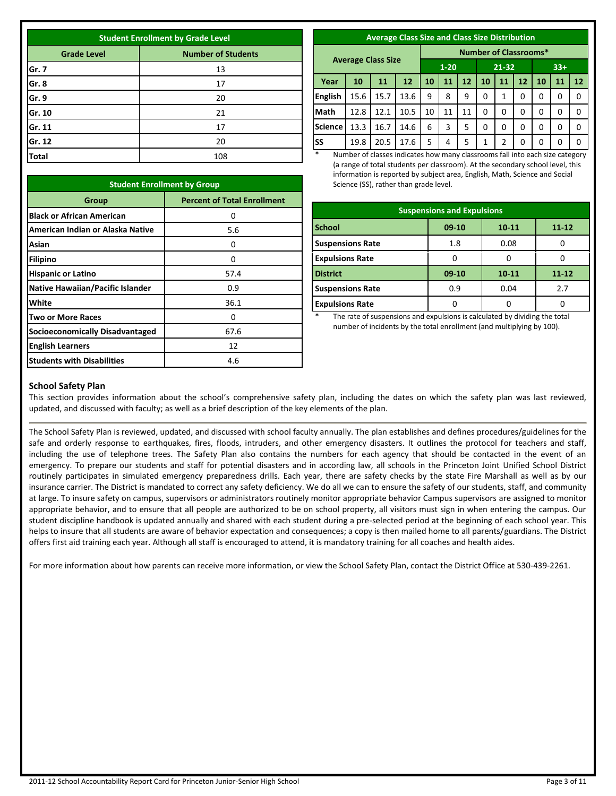| <b>Student Enrollment by Grade Level</b>        |     |  |  |  |
|-------------------------------------------------|-----|--|--|--|
| <b>Number of Students</b><br><b>Grade Level</b> |     |  |  |  |
| Gr. 7                                           | 13  |  |  |  |
| Gr. 8                                           | 17  |  |  |  |
| Gr. 9                                           | 20  |  |  |  |
| Gr. 10                                          | 21  |  |  |  |
| Gr. 11                                          | 17  |  |  |  |
| Gr. 12                                          | 20  |  |  |  |
| <b>Total</b>                                    | 108 |  |  |  |

**Student Enrollment by Group**

**Black or African American** and the state of the original control of the original control of the original control of the original control of the original control of the original control of the original control of the origi

**Asian-------** 0 **Filipino** 0 **Hispanic or Latino Hispanic or Latino Native Hawaiian/Pacific Islander** | **Case 10:33 White** 36.1 **Two or More Races** 0 **Socioeconomically Disadvantaged** 67.6 **English Learners** 12 **Students with Disabilities 1** a.6

**American Indian or Alaska Native** 

**Asian** 

**Group Percent of Total Enrollment** 

5.6

| <b>Average Class Size and Class Size Distribution</b> |  |
|-------------------------------------------------------|--|
|                                                       |  |
|                                                       |  |

|                |      |                           |      |          |    |    | <b>Number of Classrooms*</b> |    |    |       |    |    |
|----------------|------|---------------------------|------|----------|----|----|------------------------------|----|----|-------|----|----|
|                |      | <b>Average Class Size</b> |      | $1 - 20$ |    |    | $21 - 32$                    |    |    | $33+$ |    |    |
| Year           | 10   | 11                        | 12   | 10       | 11 | 12 | 10                           | 11 | 12 | 10    | 11 | 12 |
| <b>English</b> | 15.6 | 15.7                      | 13.6 | 9        | 8  | 9  | 0                            | 1  | 0  | 0     | 0  | 0  |
| <b>Math</b>    | 12.8 | 12.1                      | 10.5 | 10       | 11 | 11 | 0                            | 0  | 0  | 0     | 0  | 0  |
| <b>Science</b> | 13.3 | 16.7                      | 14.6 | 6        | 3  | 5  | 0                            | 0  | 0  | 0     | 0  | 0  |
| lss            | 19.8 | 20.5                      | 17.6 | 5        | 4  | 5  | 1                            | 2  | 0  | 0     | 0  | 0  |

Number of classes indicates how many classrooms fall into each size category (a range of total students per classroom). At the secondary school level, this information is reported by subject area, English, Math, Science and Social Science (SS), rather than grade level.

| <b>Suspensions and Expulsions</b>              |         |       |           |  |  |  |
|------------------------------------------------|---------|-------|-----------|--|--|--|
| <b>School</b><br>$09-10$<br>$11 - 12$<br>10-11 |         |       |           |  |  |  |
| <b>Suspensions Rate</b>                        | 1.8     | 0.08  |           |  |  |  |
| <b>Expulsions Rate</b>                         |         |       |           |  |  |  |
| <b>District</b>                                | $09-10$ | 10-11 | $11 - 12$ |  |  |  |
| <b>Suspensions Rate</b>                        | 0.9     | 0.04  | 2.7       |  |  |  |
| <b>Expulsions Rate</b>                         |         |       |           |  |  |  |

The rate of suspensions and expulsions is calculated by dividing the total number of incidents by the total enrollment (and multiplying by 100).

| <b>School Safety Plan</b> |  |
|---------------------------|--|

This section provides information about the school's comprehensive safety plan, including the dates on which the safety plan was last reviewed, updated, and discussed with faculty; as well as a brief description of the key elements of the plan.

The School Safety Plan is reviewed, updated, and discussed with school faculty annually. The plan establishes and defines procedures/guidelines for the safe and orderly response to earthquakes, fires, floods, intruders, and other emergency disasters. It outlines the protocol for teachers and staff, including the use of telephone trees. The Safety Plan also contains the numbers for each agency that should be contacted in the event of an emergency. To prepare our students and staff for potential disasters and in according law, all schools in the Princeton Joint Unified School District routinely participates in simulated emergency preparedness drills. Each year, there are safety checks by the state Fire Marshall as well as by our insurance carrier. The District is mandated to correct any safety deficiency. We do all we can to ensure the safety of our students, staff, and community at large. To insure safety on campus, supervisors or administrators routinely monitor appropriate behavior Campus supervisors are assigned to monitor appropriate behavior, and to ensure that all people are authorized to be on school property, all visitors must sign in when entering the campus. Our student discipline handbook is updated annually and shared with each student during a pre-selected period at the beginning of each school year. This helps to insure that all students are aware of behavior expectation and consequences; a copy is then mailed home to all parents/guardians. The District offers first aid training each year. Although all staff is encouraged to attend, it is mandatory training for all coaches and health aides.

For more information about how parents can receive more information, or view the School Safety Plan, contact the District Office at 530-439-2261.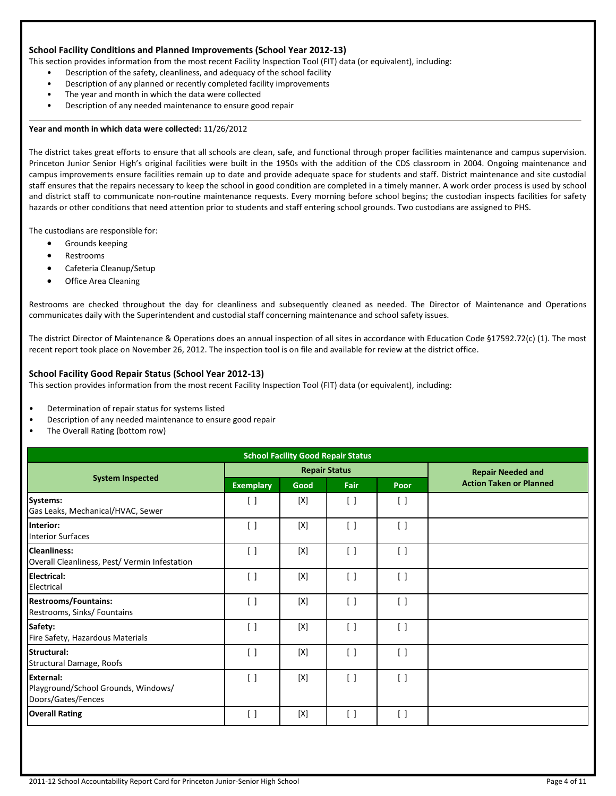#### **School Facility Conditions and Planned Improvements (School Year 2012-13)**

This section provides information from the most recent Facility Inspection Tool (FIT) data (or equivalent), including:

- Description of the safety, cleanliness, and adequacy of the school facility
- Description of any planned or recently completed facility improvements
- The year and month in which the data were collected
- Description of any needed maintenance to ensure good repair

#### **Year and month in which data were collected:** 11/26/2012

The district takes great efforts to ensure that all schools are clean, safe, and functional through proper facilities maintenance and campus supervision. Princeton Junior Senior High's original facilities were built in the 1950s with the addition of the CDS classroom in 2004. Ongoing maintenance and campus improvements ensure facilities remain up to date and provide adequate space for students and staff. District maintenance and site custodial staff ensures that the repairs necessary to keep the school in good condition are completed in a timely manner. A work order process is used by school and district staff to communicate non-routine maintenance requests. Every morning before school begins; the custodian inspects facilities for safety hazards or other conditions that need attention prior to students and staff entering school grounds. Two custodians are assigned to PHS.

The custodians are responsible for:

- Grounds keeping
- Restrooms
- Cafeteria Cleanup/Setup
- Office Area Cleaning

Restrooms are checked throughout the day for cleanliness and subsequently cleaned as needed. The Director of Maintenance and Operations communicates daily with the Superintendent and custodial staff concerning maintenance and school safety issues.

The district Director of Maintenance & Operations does an annual inspection of all sites in accordance with Education Code §17592.72(c) (1). The most recent report took place on November 26, 2012. The inspection tool is on file and available for review at the district office.

#### **School Facility Good Repair Status (School Year 2012-13)**

This section provides information from the most recent Facility Inspection Tool (FIT) data (or equivalent), including:

- Determination of repair status for systems listed
- Description of any needed maintenance to ensure good repair
- The Overall Rating (bottom row)

| <b>School Facility Good Repair Status</b>                                     |                                 |                      |                                 |                          |                                |
|-------------------------------------------------------------------------------|---------------------------------|----------------------|---------------------------------|--------------------------|--------------------------------|
|                                                                               |                                 | <b>Repair Status</b> |                                 | <b>Repair Needed and</b> |                                |
| <b>System Inspected</b>                                                       | <b>Exemplary</b>                | Good                 | Fair                            | Poor                     | <b>Action Taken or Planned</b> |
| Systems:<br>Gas Leaks, Mechanical/HVAC, Sewer                                 | $\lceil$ $\rceil$               | [X]                  | $\lceil$ $\rceil$               | $\lceil$                 |                                |
| Interior:<br><b>Interior Surfaces</b>                                         | $\left[ \ \right]$              | [X]                  | $\begin{bmatrix} \end{bmatrix}$ | $\lceil$                 |                                |
| <b>Cleanliness:</b><br>Overall Cleanliness, Pest/ Vermin Infestation          | $\lceil$ $\rceil$               | [X]                  | $\lceil$ $\rceil$               | $\lceil$                 |                                |
| <b>Electrical:</b><br>Electrical                                              | $\begin{bmatrix} \end{bmatrix}$ | [X]                  | $\left[ \quad \right]$          | $\lceil$ $\rceil$        |                                |
| <b>Restrooms/Fountains:</b><br>Restrooms, Sinks/ Fountains                    | $\begin{bmatrix} \end{bmatrix}$ | [X]                  | $\begin{bmatrix} \end{bmatrix}$ | $\lceil$ $\rceil$        |                                |
| Safety:<br>Fire Safety, Hazardous Materials                                   | $\begin{bmatrix} \end{bmatrix}$ | [X]                  | $\begin{bmatrix} \end{bmatrix}$ | $\lceil$                 |                                |
| Structural:<br><b>Structural Damage, Roofs</b>                                | $\begin{bmatrix} \end{bmatrix}$ | [X]                  | $\begin{bmatrix} \end{bmatrix}$ | $\lceil$                 |                                |
| <b>External:</b><br>Playground/School Grounds, Windows/<br>Doors/Gates/Fences | $\begin{bmatrix} \end{bmatrix}$ | [X]                  | $\lceil$ $\rceil$               | $\lceil$                 |                                |
| <b>Overall Rating</b>                                                         | $\begin{bmatrix} \end{bmatrix}$ | [X]                  | $\begin{bmatrix} \end{bmatrix}$ | $\lceil$ $\rceil$        |                                |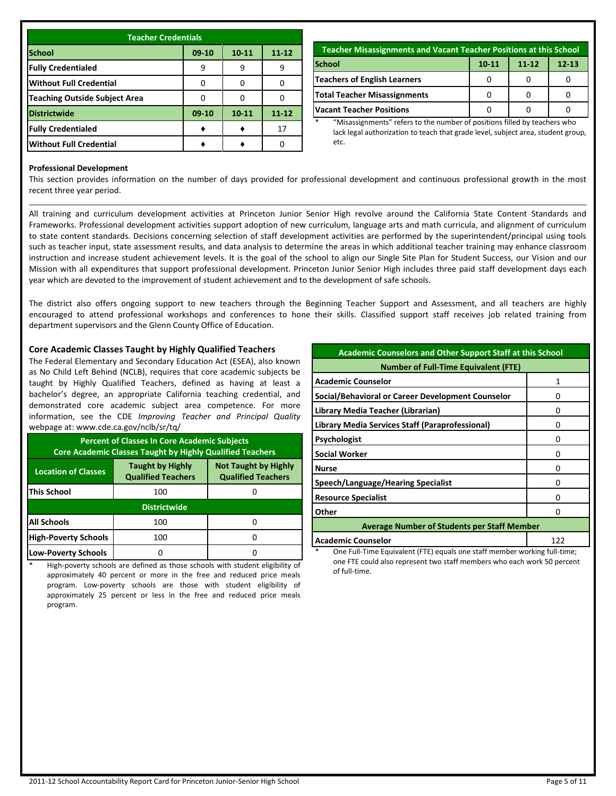| <b>Teacher Credentials</b>           |           |           |           |  |  |
|--------------------------------------|-----------|-----------|-----------|--|--|
| <b>School</b>                        | $09 - 10$ | $10 - 11$ | $11 - 12$ |  |  |
| <b>Fully Credentialed</b>            |           | 9         | 9         |  |  |
| <b>Without Full Credential</b>       | n         |           |           |  |  |
| <b>Teaching Outside Subject Area</b> | n         |           |           |  |  |
| <b>Districtwide</b>                  | $09-10$   | $10 - 11$ | $11 - 12$ |  |  |
| <b>Fully Credentialed</b>            |           |           | 17        |  |  |
| <b>Without Full Credential</b>       |           |           |           |  |  |

| Teacher Misassignments and Vacant Teacher Positions at this School |  |  |  |  |  |  |
|--------------------------------------------------------------------|--|--|--|--|--|--|
| <b>School</b><br>$10 - 11$<br>$11 - 12$<br>$12 - 13$               |  |  |  |  |  |  |
| Teachers of English Learners                                       |  |  |  |  |  |  |
| Total Teacher Misassignments                                       |  |  |  |  |  |  |
| <b>Vacant Teacher Positions</b>                                    |  |  |  |  |  |  |

\* "Misassignments" refers to the number of positions filled by teachers who lack legal authorization to teach that grade level, subject area, student group, etc.

#### **Professional Development**

This section provides information on the number of days provided for professional development and continuous professional growth in the most recent three year period.

All training and curriculum development activities at Princeton Junior Senior High revolve around the California State Content Standards and Frameworks. Professional development activities support adoption of new curriculum, language arts and math curricula, and alignment of curriculum to state content standards. Decisions concerning selection of staff development activities are performed by the superintendent/principal using tools such as teacher input, state assessment results, and data analysis to determine the areas in which additional teacher training may enhance classroom instruction and increase student achievement levels. It is the goal of the school to align our Single Site Plan for Student Success, our Vision and our Mission with all expenditures that support professional development. Princeton Junior Senior High includes three paid staff development days each year which are devoted to the improvement of student achievement and to the development of safe schools.

The district also offers ongoing support to new teachers through the Beginning Teacher Support and Assessment, and all teachers are highly encouraged to attend professional workshops and conferences to hone their skills. Classified support staff receives job related training from department supervisors and the Glenn County Office of Education.

#### **Core Academic Classes Taught by Highly Qualified Teachers**

The Federal Elementary and Secondary Education Act (ESEA), also known as No Child Left Behind (NCLB), requires that core academic subjects be taught by Highly Qualified Teachers, defined as having at least a bachelor's degree, an appropriate California teaching credential, and demonstrated core academic subject area competence. For more information, see the CDE *Improving Teacher and Principal Quality* webpage at: www.cde.ca.gov/nclb/sr/tq/

| <b>Percent of Classes In Core Academic Subjects</b><br><b>Core Academic Classes Taught by Highly Qualified Teachers</b>                        |                     |  |  |  |  |
|------------------------------------------------------------------------------------------------------------------------------------------------|---------------------|--|--|--|--|
| <b>Taught by Highly</b><br><b>Not Taught by Highly</b><br><b>Location of Classes</b><br><b>Qualified Teachers</b><br><b>Qualified Teachers</b> |                     |  |  |  |  |
| <b>This School</b>                                                                                                                             | 100                 |  |  |  |  |
|                                                                                                                                                | <b>Districtwide</b> |  |  |  |  |
| <b>All Schools</b>                                                                                                                             | 100                 |  |  |  |  |
| <b>High-Poverty Schools</b>                                                                                                                    | 100                 |  |  |  |  |
| <b>Low-Poverty Schools</b>                                                                                                                     |                     |  |  |  |  |

High-poverty schools are defined as those schools with student eligibility of approximately 40 percent or more in the free and reduced price meals program. Low-poverty schools are those with student eligibility of approximately 25 percent or less in the free and reduced price meals program.

| <b>Academic Counselors and Other Support Staff at this School</b> |   |  |  |  |  |
|-------------------------------------------------------------------|---|--|--|--|--|
| <b>Number of Full-Time Equivalent (FTE)</b>                       |   |  |  |  |  |
| <b>Academic Counselor</b>                                         |   |  |  |  |  |
| Social/Behavioral or Career Development Counselor                 | n |  |  |  |  |
| Library Media Teacher (Librarian)                                 | 0 |  |  |  |  |
| Library Media Services Staff (Paraprofessional)                   | n |  |  |  |  |
| <b>Psychologist</b>                                               | n |  |  |  |  |
| <b>Social Worker</b>                                              | 0 |  |  |  |  |
| <b>Nurse</b>                                                      | Ω |  |  |  |  |
| Speech/Language/Hearing Specialist                                | n |  |  |  |  |
| <b>Resource Specialist</b>                                        | n |  |  |  |  |
| Other<br>n                                                        |   |  |  |  |  |
| <b>Average Number of Students per Staff Member</b>                |   |  |  |  |  |
| <b>Academic Counselor</b><br>122                                  |   |  |  |  |  |

One Full-Time Equivalent (FTE) equals one staff member working full-time; one FTE could also represent two staff members who each work 50 percent of full-time.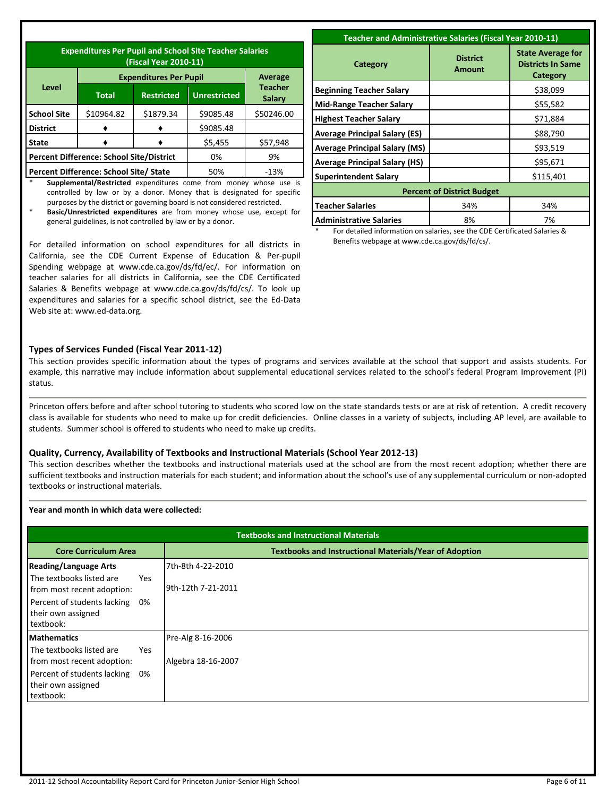| <b>Expenditures Per Pupil and School Site Teacher Salaries</b><br>(Fiscal Year 2010-11) |                                                 |                               |                     |                          |  |
|-----------------------------------------------------------------------------------------|-------------------------------------------------|-------------------------------|---------------------|--------------------------|--|
|                                                                                         |                                                 | <b>Expenditures Per Pupil</b> |                     | Average                  |  |
| Level                                                                                   | <b>Total</b>                                    | <b>Restricted</b>             | <b>Unrestricted</b> | <b>Teacher</b><br>Salary |  |
| <b>School Site</b>                                                                      | \$10964.82                                      | \$1879.34                     | \$9085.48           | \$50246.00               |  |
| <b>District</b>                                                                         |                                                 |                               | \$9085.48           |                          |  |
| State                                                                                   |                                                 |                               | \$5,455             | \$57,948                 |  |
|                                                                                         | <b>Percent Difference: School Site/District</b> | 0%                            | 9%                  |                          |  |
|                                                                                         | Percent Difference: School Site/ State          |                               | 50%                 | $-13%$                   |  |

\* **Supplemental/Restricted** expenditures come from money whose use is controlled by law or by a donor. Money that is designated for specific purposes by the district or governing board is not considered restricted.

\* **Basic/Unrestricted expenditures** are from money whose use, except for general guidelines, is not controlled by law or by a donor.

For detailed information on school expenditures for all districts in California, see the CDE Current Expense of Education & Per-pupil Spending webpage at www.cde.ca.gov/ds/fd/ec/. For information on teacher salaries for all districts in California, see the CDE Certificated Salaries & Benefits webpage at www.cde.ca.gov/ds/fd/cs/. To look up expenditures and salaries for a specific school district, see the Ed-Data Web site at: www.ed-data.org.

| <b>Teacher and Administrative Salaries (Fiscal Year 2010-11)</b> |                                  |                                                                  |  |  |  |
|------------------------------------------------------------------|----------------------------------|------------------------------------------------------------------|--|--|--|
| Category                                                         | <b>District</b><br><b>Amount</b> | <b>State Average for</b><br><b>Districts In Same</b><br>Category |  |  |  |
| <b>Beginning Teacher Salary</b>                                  |                                  | \$38,099                                                         |  |  |  |
| <b>Mid-Range Teacher Salary</b>                                  |                                  | \$55,582                                                         |  |  |  |
| <b>Highest Teacher Salary</b>                                    |                                  | \$71,884                                                         |  |  |  |
| <b>Average Principal Salary (ES)</b>                             |                                  | \$88,790                                                         |  |  |  |
| <b>Average Principal Salary (MS)</b>                             |                                  | \$93,519                                                         |  |  |  |
| <b>Average Principal Salary (HS)</b>                             |                                  | \$95,671                                                         |  |  |  |
| <b>Superintendent Salary</b>                                     |                                  | \$115,401                                                        |  |  |  |
| <b>Percent of District Budget</b>                                |                                  |                                                                  |  |  |  |
| <b>Teacher Salaries</b>                                          | 34%                              | 34%                                                              |  |  |  |
| <b>Administrative Salaries</b>                                   | 8%                               | 7%                                                               |  |  |  |

For detailed information on salaries, see the CDE Certificated Salaries & Benefits webpage at www.cde.ca.gov/ds/fd/cs/.

#### **Types of Services Funded (Fiscal Year 2011-12)**

This section provides specific information about the types of programs and services available at the school that support and assists students. For example, this narrative may include information about supplemental educational services related to the school's federal Program Improvement (PI) status.

Princeton offers before and after school tutoring to students who scored low on the state standards tests or are at risk of retention. A credit recovery class is available for students who need to make up for credit deficiencies. Online classes in a variety of subjects, including AP level, are available to students. Summer school is offered to students who need to make up credits.

#### **Quality, Currency, Availability of Textbooks and Instructional Materials (School Year 2012-13)**

This section describes whether the textbooks and instructional materials used at the school are from the most recent adoption; whether there are sufficient textbooks and instruction materials for each student; and information about the school's use of any supplemental curriculum or non-adopted textbooks or instructional materials.

#### **Year and month in which data were collected:**

| <b>Textbooks and Instructional Materials</b>                                                                                                                       |                                                               |  |  |  |
|--------------------------------------------------------------------------------------------------------------------------------------------------------------------|---------------------------------------------------------------|--|--|--|
| <b>Core Curriculum Area</b>                                                                                                                                        | <b>Textbooks and Instructional Materials/Year of Adoption</b> |  |  |  |
| <b>Reading/Language Arts</b><br>The textbooks listed are<br><b>Yes</b><br>from most recent adoption:                                                               | 7th-8th 4-22-2010<br>9th-12th 7-21-2011                       |  |  |  |
| Percent of students lacking<br>0%<br>their own assigned<br>textbook:                                                                                               |                                                               |  |  |  |
| <b>Mathematics</b><br>The textbooks listed are<br><b>Yes</b><br>from most recent adoption:<br>Percent of students lacking<br>0%<br>their own assigned<br>textbook: | Pre-Alg 8-16-2006<br>Algebra 18-16-2007                       |  |  |  |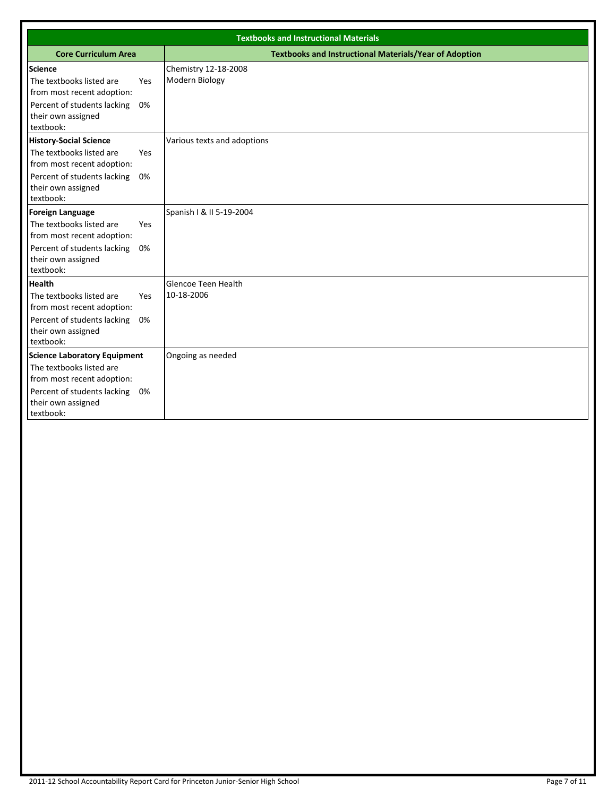| <b>Textbooks and Instructional Materials</b>                                                                                                                       |           |                                                               |  |  |  |
|--------------------------------------------------------------------------------------------------------------------------------------------------------------------|-----------|---------------------------------------------------------------|--|--|--|
| <b>Core Curriculum Area</b>                                                                                                                                        |           | <b>Textbooks and Instructional Materials/Year of Adoption</b> |  |  |  |
| <b>Science</b><br>The textbooks listed are<br>from most recent adoption:<br>Percent of students lacking<br>their own assigned<br>textbook:                         | Yes<br>0% | Chemistry 12-18-2008<br>Modern Biology                        |  |  |  |
| <b>History-Social Science</b><br>The textbooks listed are<br>from most recent adoption:<br>Percent of students lacking<br>their own assigned<br>textbook:          | Yes<br>0% | Various texts and adoptions                                   |  |  |  |
| <b>Foreign Language</b><br>The textbooks listed are<br>from most recent adoption:<br>Percent of students lacking<br>their own assigned<br>textbook:                | Yes<br>0% | Spanish I & II 5-19-2004                                      |  |  |  |
| <b>Health</b><br>The textbooks listed are<br>from most recent adoption:<br>Percent of students lacking<br>their own assigned<br>textbook:                          | Yes<br>0% | <b>Glencoe Teen Health</b><br>10-18-2006                      |  |  |  |
| <b>Science Laboratory Equipment</b><br>The textbooks listed are<br>from most recent adoption:<br>Percent of students lacking 0%<br>their own assigned<br>textbook: |           | Ongoing as needed                                             |  |  |  |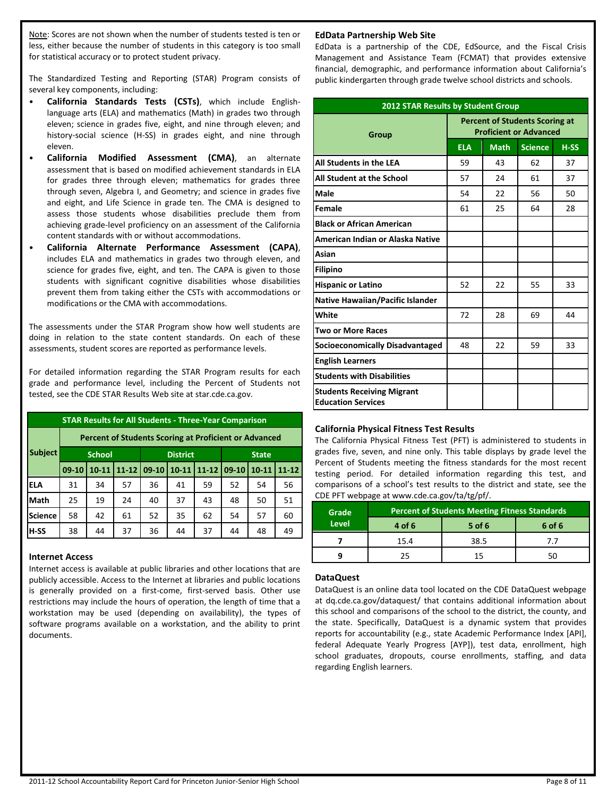Note: Scores are not shown when the number of students tested is ten or less, either because the number of students in this category is too small for statistical accuracy or to protect student privacy.

The Standardized Testing and Reporting (STAR) Program consists of several key components, including:

- **California Standards Tests (CSTs)**, which include Englishlanguage arts (ELA) and mathematics (Math) in grades two through eleven; science in grades five, eight, and nine through eleven; and history-social science (H-SS) in grades eight, and nine through eleven.
- **California Modified Assessment (CMA)**, an alternate assessment that is based on modified achievement standards in ELA for grades three through eleven; mathematics for grades three through seven, Algebra I, and Geometry; and science in grades five and eight, and Life Science in grade ten. The CMA is designed to assess those students whose disabilities preclude them from achieving grade-level proficiency on an assessment of the California content standards with or without accommodations.
- **California Alternate Performance Assessment (CAPA)**, includes ELA and mathematics in grades two through eleven, and science for grades five, eight, and ten. The CAPA is given to those students with significant cognitive disabilities whose disabilities prevent them from taking either the CSTs with accommodations or modifications or the CMA with accommodations.

The assessments under the STAR Program show how well students are doing in relation to the state content standards. On each of these assessments, student scores are reported as performance levels.

For detailed information regarding the STAR Program results for each grade and performance level, including the Percent of Students not tested, see the CDE STAR Results Web site at star.cde.ca.gov.

| <b>STAR Results for All Students - Three-Year Comparison</b> |                                                              |           |           |                 |           |           |              |           |           |
|--------------------------------------------------------------|--------------------------------------------------------------|-----------|-----------|-----------------|-----------|-----------|--------------|-----------|-----------|
|                                                              | <b>Percent of Students Scoring at Proficient or Advanced</b> |           |           |                 |           |           |              |           |           |
| <b>Subject</b>                                               | <b>School</b>                                                |           |           | <b>District</b> |           |           | <b>State</b> |           |           |
|                                                              | $09-10$                                                      | $10 - 11$ | $11 - 12$ | $09-10$         | $10 - 11$ | $11 - 12$ | 09-10        | $10 - 11$ | $11 - 12$ |
| <b>ELA</b>                                                   | 31                                                           | 34        | 57        | 36              | 41        | 59        | 52           | 54        | 56        |
| Math                                                         | 25                                                           | 19        | 24        | 40              | 37        | 43        | 48           | 50        | 51        |
| Science                                                      | 58                                                           | 42        | 61        | 52              | 35        | 62        | 54           | 57        | 60        |
| <b>H-SS</b>                                                  | 38                                                           | 44        | 37        | 36              | 44        | 37        | 44           | 48        | 49        |

#### **Internet Access**

Internet access is available at public libraries and other locations that are publicly accessible. Access to the Internet at libraries and public locations is generally provided on a first-come, first-served basis. Other use restrictions may include the hours of operation, the length of time that a workstation may be used (depending on availability), the types of software programs available on a workstation, and the ability to print documents.

#### **EdData Partnership Web Site**

EdData is a partnership of the CDE, EdSource, and the Fiscal Crisis Management and Assistance Team (FCMAT) that provides extensive financial, demographic, and performance information about California's public kindergarten through grade twelve school districts and schools.

| <b>2012 STAR Results by Student Group</b>                      |                                                                        |             |                |        |  |
|----------------------------------------------------------------|------------------------------------------------------------------------|-------------|----------------|--------|--|
| Group                                                          | <b>Percent of Students Scoring at</b><br><b>Proficient or Advanced</b> |             |                |        |  |
|                                                                | <b>ELA</b>                                                             | <b>Math</b> | <b>Science</b> | $H-SS$ |  |
| All Students in the LEA                                        | 59                                                                     | 43          | 62             | 37     |  |
| All Student at the School                                      | 57                                                                     | 24          | 61             | 37     |  |
| Male                                                           | 54                                                                     | 22          | 56             | 50     |  |
| Female                                                         | 61                                                                     | 25          | 64             | 28     |  |
| <b>Black or African American</b>                               |                                                                        |             |                |        |  |
| American Indian or Alaska Native                               |                                                                        |             |                |        |  |
| Asian                                                          |                                                                        |             |                |        |  |
| <b>Filipino</b>                                                |                                                                        |             |                |        |  |
| <b>Hispanic or Latino</b>                                      | 52                                                                     | 22          | 55             | 33     |  |
| <b>Native Hawaiian/Pacific Islander</b>                        |                                                                        |             |                |        |  |
| White                                                          | 72                                                                     | 28          | 69             | 44     |  |
| <b>Two or More Races</b>                                       |                                                                        |             |                |        |  |
| <b>Socioeconomically Disadvantaged</b>                         | 48                                                                     | 22          | 59             | 33     |  |
| <b>English Learners</b>                                        |                                                                        |             |                |        |  |
| <b>Students with Disabilities</b>                              |                                                                        |             |                |        |  |
| <b>Students Receiving Migrant</b><br><b>Education Services</b> |                                                                        |             |                |        |  |

#### **California Physical Fitness Test Results**

The California Physical Fitness Test (PFT) is administered to students in grades five, seven, and nine only. This table displays by grade level the Percent of Students meeting the fitness standards for the most recent testing period. For detailed information regarding this test, and comparisons of a school's test results to the district and state, see the CDE PFT webpage at www.cde.ca.gov/ta/tg/pf/.

| Grade        | Percent of Students Meeting Fitness Standards |        |        |  |  |
|--------------|-----------------------------------------------|--------|--------|--|--|
| <b>Level</b> | 4 of 6                                        | 5 of 6 | 6 of 6 |  |  |
|              | 15.4                                          | 38.5   | 7.7    |  |  |
|              | 75                                            | 15     |        |  |  |

#### **DataQuest**

DataQuest is an online data tool located on the CDE DataQuest webpage at dq.cde.ca.gov/dataquest/ that contains additional information about this school and comparisons of the school to the district, the county, and the state. Specifically, DataQuest is a dynamic system that provides reports for accountability (e.g., state Academic Performance Index [API], federal Adequate Yearly Progress [AYP]), test data, enrollment, high school graduates, dropouts, course enrollments, staffing, and data regarding English learners.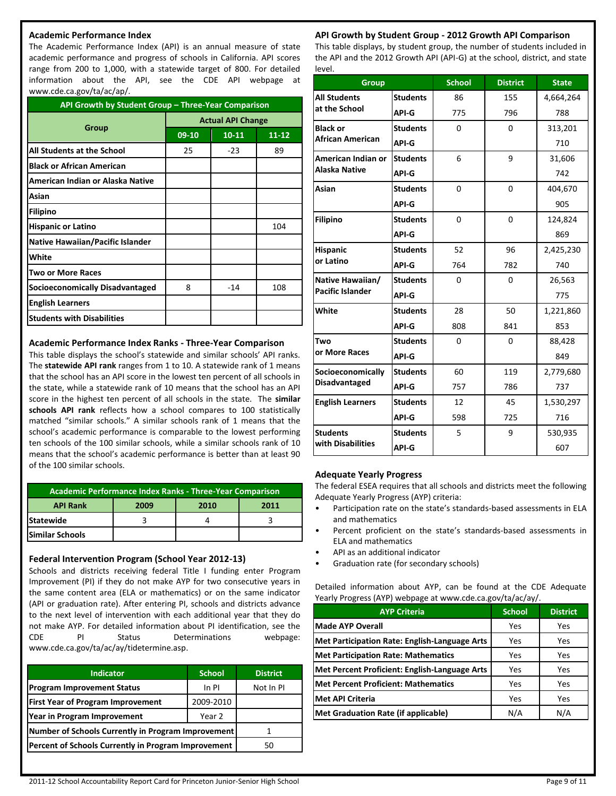#### **Academic Performance Index**

The Academic Performance Index (API) is an annual measure of state academic performance and progress of schools in California. API scores range from 200 to 1,000, with a statewide target of 800. For detailed information about the API, see the CDE API webpage at www.cde.ca.gov/ta/ac/ap/.

| API Growth by Student Group - Three-Year Comparison |                          |           |           |  |  |
|-----------------------------------------------------|--------------------------|-----------|-----------|--|--|
|                                                     | <b>Actual API Change</b> |           |           |  |  |
| Group                                               | 09-10                    | $10 - 11$ | $11 - 12$ |  |  |
| All Students at the School                          | 25                       | $-23$     | 89        |  |  |
| <b>Black or African American</b>                    |                          |           |           |  |  |
| American Indian or Alaska Native                    |                          |           |           |  |  |
| Asian                                               |                          |           |           |  |  |
| <b>Filipino</b>                                     |                          |           |           |  |  |
| <b>Hispanic or Latino</b>                           |                          |           | 104       |  |  |
| <b>Native Hawaiian/Pacific Islander</b>             |                          |           |           |  |  |
| White                                               |                          |           |           |  |  |
| <b>Two or More Races</b>                            |                          |           |           |  |  |
| <b>Socioeconomically Disadvantaged</b>              | 8                        | $-14$     | 108       |  |  |
| <b>English Learners</b>                             |                          |           |           |  |  |
| <b>Students with Disabilities</b>                   |                          |           |           |  |  |

#### **Academic Performance Index Ranks - Three-Year Comparison**

This table displays the school's statewide and similar schools' API ranks. The **statewide API rank** ranges from 1 to 10. A statewide rank of 1 means that the school has an API score in the lowest ten percent of all schools in the state, while a statewide rank of 10 means that the school has an API score in the highest ten percent of all schools in the state. The **similar schools API rank** reflects how a school compares to 100 statistically matched "similar schools." A similar schools rank of 1 means that the school's academic performance is comparable to the lowest performing ten schools of the 100 similar schools, while a similar schools rank of 10 means that the school's academic performance is better than at least 90 of the 100 similar schools.

| Academic Performance Index Ranks - Three-Year Comparison |  |  |  |  |  |  |  |
|----------------------------------------------------------|--|--|--|--|--|--|--|
| <b>API Rank</b><br>2009<br>2010<br>2011                  |  |  |  |  |  |  |  |
| <b>Statewide</b>                                         |  |  |  |  |  |  |  |
| lSimilar Schools                                         |  |  |  |  |  |  |  |

#### **Federal Intervention Program (School Year 2012-13)**

Schools and districts receiving federal Title I funding enter Program Improvement (PI) if they do not make AYP for two consecutive years in the same content area (ELA or mathematics) or on the same indicator (API or graduation rate). After entering PI, schools and districts advance to the next level of intervention with each additional year that they do not make AYP. For detailed information about PI identification, see the CDE PI Status Determinations webpage: www.cde.ca.gov/ta/ac/ay/tidetermine.asp.

| <b>Indicator</b>                                    | <b>School</b> | <b>District</b> |
|-----------------------------------------------------|---------------|-----------------|
| <b>Program Improvement Status</b>                   | In PI         | Not In PI       |
| <b>First Year of Program Improvement</b>            | 2009-2010     |                 |
| Year in Program Improvement                         | Year 2        |                 |
| Number of Schools Currently in Program Improvement  |               |                 |
| Percent of Schools Currently in Program Improvement | 50            |                 |

#### **API Growth by Student Group - 2012 Growth API Comparison**

This table displays, by student group, the number of students included in the API and the 2012 Growth API (API-G) at the school, district, and state level.

| <b>Group</b>            |                 | <b>School</b> | <b>District</b> | <b>State</b> |
|-------------------------|-----------------|---------------|-----------------|--------------|
| <b>All Students</b>     | <b>Students</b> | 86            | 155             | 4,664,264    |
| at the School           | API-G           | 775           | 796             | 788          |
| <b>Black or</b>         | <b>Students</b> | $\Omega$      | $\Omega$        | 313,201      |
| <b>African American</b> | API-G           |               |                 | 710          |
| American Indian or      | <b>Students</b> | 6             | 9               | 31,606       |
| <b>Alaska Native</b>    | API-G           |               |                 | 742          |
| Asian                   | <b>Students</b> | 0             | 0               | 404,670      |
|                         | API-G           |               |                 | 905          |
| <b>Filipino</b>         | <b>Students</b> | $\Omega$      | $\overline{0}$  | 124,824      |
|                         | API-G           |               |                 | 869          |
| <b>Hispanic</b>         | <b>Students</b> | 52            | 96              | 2,425,230    |
| or Latino               | API-G           | 764           | 782             | 740          |
| Native Hawaiian/        | <b>Students</b> | $\Omega$      | $\Omega$        | 26,563       |
| <b>Pacific Islander</b> | API-G           |               |                 | 775          |
| White                   | <b>Students</b> | 28            | 50              | 1,221,860    |
|                         | API-G           | 808           | 841             | 853          |
| Two                     | <b>Students</b> | $\Omega$      | $\Omega$        | 88,428       |
| or More Races           | API-G           |               |                 | 849          |
| Socioeconomically       | <b>Students</b> | 60            | 119             | 2,779,680    |
| <b>Disadvantaged</b>    | API-G           | 757           | 786             | 737          |
| <b>English Learners</b> | <b>Students</b> | 12            | 45              | 1,530,297    |
|                         | API-G           | 598           | 725             | 716          |
| <b>Students</b>         | <b>Students</b> | 5             | 9               | 530,935      |
| with Disabilities       | <b>API-G</b>    |               |                 | 607          |

#### **Adequate Yearly Progress**

The federal ESEA requires that all schools and districts meet the following Adequate Yearly Progress (AYP) criteria:

- Participation rate on the state's standards-based assessments in ELA and mathematics
- Percent proficient on the state's standards-based assessments in ELA and mathematics
- API as an additional indicator
- Graduation rate (for secondary schools)

Detailed information about AYP, can be found at the CDE Adequate Yearly Progress (AYP) webpage at www.cde.ca.gov/ta/ac/ay/.

| <b>AYP Criteria</b>                           | <b>School</b> | <b>District</b> |
|-----------------------------------------------|---------------|-----------------|
| <b>Made AYP Overall</b>                       | Yes           | Yes             |
| Met Participation Rate: English-Language Arts | Yes           | Yes             |
| <b>Met Participation Rate: Mathematics</b>    | Yes           | Yes             |
| Met Percent Proficient: English-Language Arts | Yes           | Yes             |
| Met Percent Proficient: Mathematics           | Yes           | Yes             |
| <b>Met API Criteria</b>                       | Yes           | Yes             |
| Met Graduation Rate (if applicable)           | N/A           | N/A             |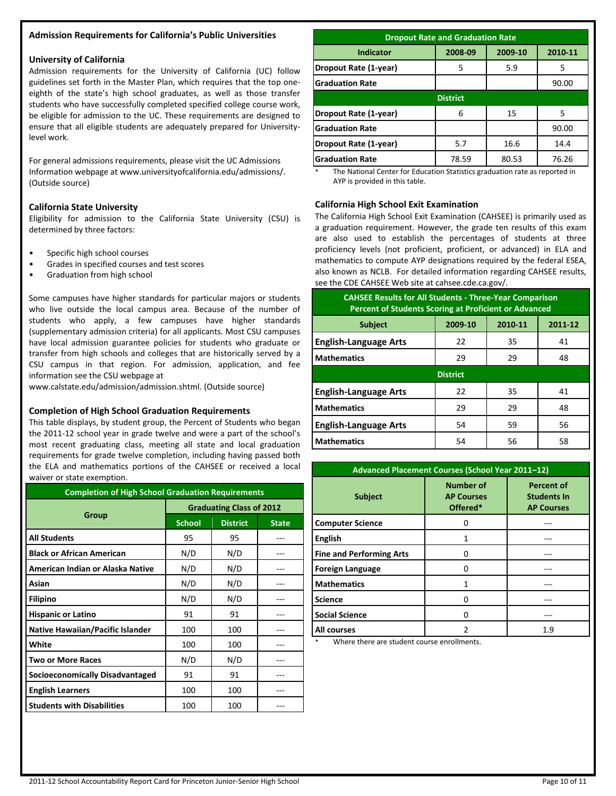#### **Admission Requirements for California's Public Universities**

#### **University of California**

Admission requirements for the University of California (UC) follow guidelines set forth in the Master Plan, which requires that the top oneeighth of the state's high school graduates, as well as those transfer students who have successfully completed specified college course work, be eligible for admission to the UC. These requirements are designed to ensure that all eligible students are adequately prepared for Universitylevel work.

For general admissions requirements, please visit the UC Admissions Information webpage at www.universityofcalifornia.edu/admissions/. (Outside source)

#### **California State University**

Eligibility for admission to the California State University (CSU) is determined by three factors:

- Specific high school courses
- Grades in specified courses and test scores
- Graduation from high school

Some campuses have higher standards for particular majors or students who live outside the local campus area. Because of the number of students who apply, a few campuses have higher standards (supplementary admission criteria) for all applicants. Most CSU campuses have local admission guarantee policies for students who graduate or transfer from high schools and colleges that are historically served by a CSU campus in that region. For admission, application, and fee information see the CSU webpage at

www.calstate.edu/admission/admission.shtml. (Outside source)

#### **Completion of High School Graduation Requirements**

This table displays, by student group, the Percent of Students who began the 2011-12 school year in grade twelve and were a part of the school's most recent graduating class, meeting all state and local graduation requirements for grade twelve completion, including having passed both the ELA and mathematics portions of the CAHSEE or received a local waiver or state exemption.

| <b>Completion of High School Graduation Requirements</b> |                                 |                 |              |  |  |
|----------------------------------------------------------|---------------------------------|-----------------|--------------|--|--|
|                                                          | <b>Graduating Class of 2012</b> |                 |              |  |  |
| Group                                                    | <b>School</b>                   | <b>District</b> | <b>State</b> |  |  |
| <b>All Students</b>                                      | 95                              | 95              |              |  |  |
| <b>Black or African American</b>                         | N/D                             | N/D             |              |  |  |
| American Indian or Alaska Native                         | N/D                             | N/D             |              |  |  |
| Asian                                                    | N/D                             | N/D             |              |  |  |
| <b>Filipino</b>                                          | N/D                             | N/D             |              |  |  |
| <b>Hispanic or Latino</b>                                | 91                              | 91              |              |  |  |
| Native Hawaiian/Pacific Islander                         | 100                             | 100             |              |  |  |
| White                                                    | 100                             | 100             |              |  |  |
| Two or More Races                                        | N/D                             | N/D             |              |  |  |
| <b>Socioeconomically Disadvantaged</b>                   | 91                              | 91              | ---          |  |  |
| <b>English Learners</b>                                  | 100                             | 100             |              |  |  |
| <b>Students with Disabilities</b>                        | 100                             | 100             |              |  |  |

| <b>Dropout Rate and Graduation Rate</b>    |       |       |       |  |  |  |
|--------------------------------------------|-------|-------|-------|--|--|--|
| Indicator<br>2008-09<br>2009-10<br>2010-11 |       |       |       |  |  |  |
| Dropout Rate (1-year)                      | 5     | 5.9   | 5     |  |  |  |
| <b>Graduation Rate</b>                     |       |       | 90.00 |  |  |  |
| <b>District</b>                            |       |       |       |  |  |  |
| Dropout Rate (1-year)                      | 6     | 15    | 5     |  |  |  |
| <b>Graduation Rate</b>                     |       |       | 90.00 |  |  |  |
| Dropout Rate (1-year)                      | 5.7   | 16.6  | 14.4  |  |  |  |
| <b>Graduation Rate</b>                     | 78.59 | 80.53 | 76.26 |  |  |  |

The National Center for Education Statistics graduation rate as reported in AYP is provided in this table.

#### **California High School Exit Examination**

The California High School Exit Examination (CAHSEE) is primarily used as a graduation requirement. However, the grade ten results of this exam are also used to establish the percentages of students at three proficiency levels (not proficient, proficient, or advanced) in ELA and mathematics to compute AYP designations required by the federal ESEA, also known as NCLB. For detailed information regarding CAHSEE results, see the CDE CAHSEE Web site at cahsee.cde.ca.gov/.

| <b>CAHSEE Results for All Students - Three-Year Comparison</b><br><b>Percent of Students Scoring at Proficient or Advanced</b> |         |         |         |  |
|--------------------------------------------------------------------------------------------------------------------------------|---------|---------|---------|--|
| <b>Subject</b>                                                                                                                 | 2009-10 | 2010-11 | 2011-12 |  |
| <b>English-Language Arts</b>                                                                                                   | 22      | 35      | 41      |  |
| <b>Mathematics</b>                                                                                                             | 29      | 29      | 48      |  |
| <b>District</b>                                                                                                                |         |         |         |  |
| <b>English-Language Arts</b>                                                                                                   | 22      | 35      | 41      |  |
| <b>Mathematics</b>                                                                                                             | 29      | 29      | 48      |  |
| <b>English-Language Arts</b>                                                                                                   | 54      | 59      | 56      |  |
| <b>Mathematics</b>                                                                                                             | 54      | 56      | 58      |  |

| Advanced Placement Courses (School Year 2011-12) |                                                   |                                                              |  |  |
|--------------------------------------------------|---------------------------------------------------|--------------------------------------------------------------|--|--|
| <b>Subject</b>                                   | <b>Number of</b><br><b>AP Courses</b><br>Offered* | <b>Percent of</b><br><b>Students In</b><br><b>AP Courses</b> |  |  |
| <b>Computer Science</b>                          | 0                                                 |                                                              |  |  |
| <b>English</b>                                   | 1                                                 |                                                              |  |  |
| <b>Fine and Performing Arts</b>                  | 0                                                 |                                                              |  |  |
| <b>Foreign Language</b>                          | 0                                                 |                                                              |  |  |
| <b>Mathematics</b>                               | 1                                                 |                                                              |  |  |
| <b>Science</b>                                   | 0                                                 |                                                              |  |  |
| <b>Social Science</b>                            | 0                                                 |                                                              |  |  |
| <b>All courses</b>                               | 2                                                 | 1.9                                                          |  |  |

Where there are student course enrollments.